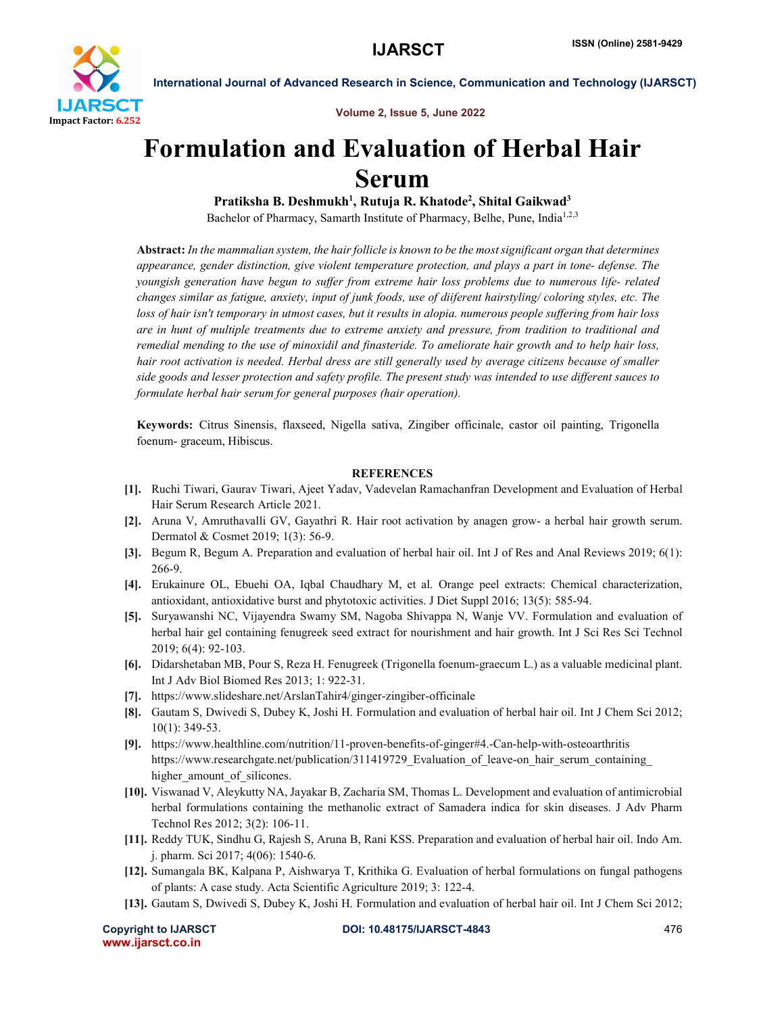

International Journal of Advanced Research in Science, Communication and Technology (IJARSCT)

Volume 2, Issue 5, June 2022

# Formulation and Evaluation of Herbal Hair Serum

Pratiksha B. Deshmukh<sup>1</sup>, Rutuja R. Khatode<sup>2</sup>, Shital Gaikwad<sup>3</sup> Bachelor of Pharmacy, Samarth Institute of Pharmacy, Belhe, Pune, India<sup>1,2,3</sup>

Abstract: *In the mammalian system, the hair follicle is known to be the most significant organ that determines appearance, gender distinction, give violent temperature protection, and plays a part in tone- defense. The youngish generation have begun to suffer from extreme hair loss problems due to numerous life- related changes similar as fatigue, anxiety, input of junk foods, use of diiferent hairstyling/ coloring styles, etc. The loss of hair isn't temporary in utmost cases, but it results in alopia. numerous people suffering from hair loss are in hunt of multiple treatments due to extreme anxiety and pressure, from tradition to traditional and remedial mending to the use of minoxidil and finasteride. To ameliorate hair growth and to help hair loss, hair root activation is needed. Herbal dress are still generally used by average citizens because of smaller side goods and lesser protection and safety profile. The present study was intended to use different sauces to formulate herbal hair serum for general purposes (hair operation).*

Keywords: Citrus Sinensis, flaxseed, Nigella sativa, Zingiber officinale, castor oil painting, Trigonella foenum- graceum, Hibiscus.

### **REFERENCES**

- [1]. Ruchi Tiwari, Gaurav Tiwari, Ajeet Yadav, Vadevelan Ramachanfran Development and Evaluation of Herbal Hair Serum Research Article 2021.
- [2]. Aruna V, Amruthavalli GV, Gayathri R. Hair root activation by anagen grow- a herbal hair growth serum. Dermatol & Cosmet 2019; 1(3): 56-9.
- [3]. Begum R, Begum A. Preparation and evaluation of herbal hair oil. Int J of Res and Anal Reviews 2019; 6(1): 266-9.
- [4]. Erukainure OL, Ebuehi OA, Iqbal Chaudhary M, et al. Orange peel extracts: Chemical characterization, antioxidant, antioxidative burst and phytotoxic activities. J Diet Suppl 2016; 13(5): 585-94.
- [5]. Suryawanshi NC, Vijayendra Swamy SM, Nagoba Shivappa N, Wanje VV. Formulation and evaluation of herbal hair gel containing fenugreek seed extract for nourishment and hair growth. Int J Sci Res Sci Technol 2019; 6(4): 92-103.
- [6]. Didarshetaban MB, Pour S, Reza H. Fenugreek (Trigonella foenum-graecum L.) as a valuable medicinal plant. Int J Adv Biol Biomed Res 2013; 1: 922-31.
- [7]. https://www.slideshare.net/ArslanTahir4/ginger-zingiber-officinale
- [8]. Gautam S, Dwivedi S, Dubey K, Joshi H. Formulation and evaluation of herbal hair oil. Int J Chem Sci 2012; 10(1): 349-53.
- [9]. https://www.healthline.com/nutrition/11-proven-benefits-of-ginger#4.-Can-help-with-osteoarthritis https://www.researchgate.net/publication/311419729\_Evaluation\_of\_leave-on\_hair\_serum\_containing\_ higher amount of silicones.
- [10]. Viswanad V, Aleykutty NA, Jayakar B, Zacharia SM, Thomas L. Development and evaluation of antimicrobial herbal formulations containing the methanolic extract of Samadera indica for skin diseases. J Adv Pharm Technol Res 2012; 3(2): 106-11.
- [11]. Reddy TUK, Sindhu G, Rajesh S, Aruna B, Rani KSS. Preparation and evaluation of herbal hair oil. Indo Am. j. pharm. Sci 2017; 4(06): 1540-6.
- [12]. Sumangala BK, Kalpana P, Aishwarya T, Krithika G. Evaluation of herbal formulations on fungal pathogens of plants: A case study. Acta Scientific Agriculture 2019; 3: 122-4.
- [13]. Gautam S, Dwivedi S, Dubey K, Joshi H. Formulation and evaluation of herbal hair oil. Int J Chem Sci 2012;